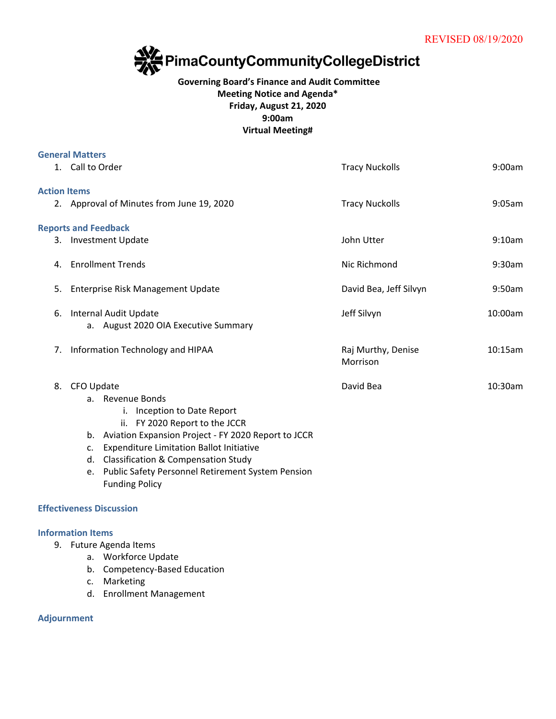

## **Governing Board's Finance and Audit Committee Meeting Notice and Agenda\* Friday, August 21, 2020 9:00am Virtual Meeting#**

|                     | <b>General Matters</b>                                                                                                                                                                                                                                                                                                                                  |                                |         |
|---------------------|---------------------------------------------------------------------------------------------------------------------------------------------------------------------------------------------------------------------------------------------------------------------------------------------------------------------------------------------------------|--------------------------------|---------|
|                     | 1. Call to Order                                                                                                                                                                                                                                                                                                                                        | <b>Tracy Nuckolls</b>          | 9:00am  |
| <b>Action Items</b> |                                                                                                                                                                                                                                                                                                                                                         |                                |         |
|                     | 2. Approval of Minutes from June 19, 2020                                                                                                                                                                                                                                                                                                               | <b>Tracy Nuckolls</b>          | 9:05am  |
|                     | <b>Reports and Feedback</b>                                                                                                                                                                                                                                                                                                                             |                                |         |
|                     | 3. Investment Update                                                                                                                                                                                                                                                                                                                                    | John Utter                     | 9:10am  |
| 4.                  | <b>Enrollment Trends</b>                                                                                                                                                                                                                                                                                                                                | Nic Richmond                   | 9:30am  |
| 5.                  | Enterprise Risk Management Update                                                                                                                                                                                                                                                                                                                       | David Bea, Jeff Silvyn         | 9:50am  |
| 6.                  | Internal Audit Update<br>a. August 2020 OIA Executive Summary                                                                                                                                                                                                                                                                                           | Jeff Silvyn                    | 10:00am |
| 7.                  | Information Technology and HIPAA                                                                                                                                                                                                                                                                                                                        | Raj Murthy, Denise<br>Morrison | 10:15am |
| 8.                  | CFO Update<br>a. Revenue Bonds<br>i. Inception to Date Report<br>ii. FY 2020 Report to the JCCR<br>b. Aviation Expansion Project - FY 2020 Report to JCCR<br><b>Expenditure Limitation Ballot Initiative</b><br>C.<br>d. Classification & Compensation Study<br><b>Public Safety Personnel Retirement System Pension</b><br>e.<br><b>Funding Policy</b> | David Bea                      | 10:30am |
|                     | <b>Effectiveness Discussion</b>                                                                                                                                                                                                                                                                                                                         |                                |         |
|                     | <b>Information Items</b><br>9. Future Agenda Items                                                                                                                                                                                                                                                                                                      |                                |         |

- a. Workforce Update
- b. Competency-Based Education
- c. Marketing
- d. Enrollment Management

**Adjournment**